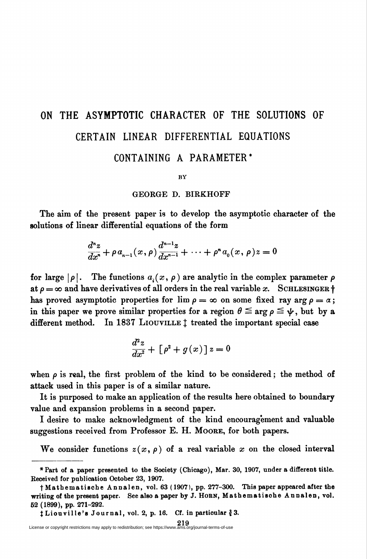## ON THE ASYMPTOTIC CHARACTER OF THE SOLUTIONS OF CERTAIN LINEAR DIFFERENTIAL EQUATIONS

## CONTAINING A PARAMETER\*

BY

## GEORGE D. BIRKHOFF

The aim of the present paper is to develop the asymptotic character of the solutions of linear differential equations of the form

$$
\frac{d^n z}{dx^n}+\rho a_{n-1}(x,\rho)\frac{d^{n-1}z}{dx^{n-1}}+\cdots+\rho^a a_0(x,\rho)z=0
$$

for large  $|\rho|$ . The functions  $a_i(x, \rho)$  are analytic in the complex parameter  $\rho$ at  $\rho = \infty$  and have derivatives of all orders in the real variable x. SCHLESINGER  $\dagger$ has proved asymptotic properties for  $\lim \rho = \infty$  on some fixed ray arg  $\rho = \alpha$ ; in this paper we prove similar properties for a region  $\theta \leq \arg \rho \leq \psi$ , but by a different method. In 1837 LIOUVILLE  $\ddagger$  treated the important special case

$$
\frac{d^2z}{dx^2} + \left[\rho^2 + g(x)\right]z = 0
$$

when  $\rho$  is real, the first problem of the kind to be considered; the method of attack used in this paper is of a similar nature.

It is purposed to make an application of the results here obtained to boundary value and expansion problems in a second paper.

I desire to make acknowledgment of the kind encouragement and valuable suggestions received from Professor E. H. Moore, for both papers.

We consider functions  $z(x, \rho)$  of a real variable x on the closed interval

<sup>♦</sup>Part of a paper presented to the Society (Chicago), Mar. 30, 1907, under a different title. Received for publication October 23, 1907.

t Mathematische Annalen, vol. 63 (1907), pp. 277-300. This paper appeared after the writing of the present paper. See also a paper by J. HORN, Mathematische Annalen, vol. 52 (1899), pp. 271-292.

 $\ddagger$  Liouville's Journal, vol. 2, p. 16. Cf. in particular  $\ddot{\ell}$  3.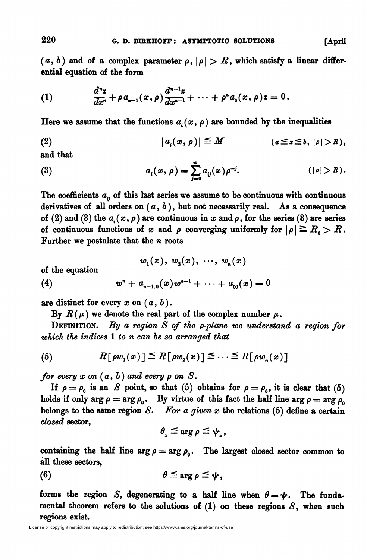$(a, b)$  and of a complex parameter  $\rho$ ,  $|\rho| > B$ , which satisfy a linear differential equation of the form

(1) 
$$
\frac{d^nz}{dx^n} + \rho a_{n-1}(x,\rho) \frac{d^{n-1}z}{dx^{n-1}} + \cdots + \rho^n a_0(x,\rho) z = 0.
$$

Here we assume that the functions  $a_i(x, \rho)$  are bounded by the inequalities

$$
(2) \qquad |a_i(x,\rho)| \leq M \qquad (a \leq x \leq b, |\rho| > R),
$$

and that

(3) 
$$
a_i(x,\rho) = \sum_{j=0}^{\infty} a_{ij}(x)\rho^{-j}.
$$
  $(|\rho| > R).$ 

The coefficients  $a_{ii}$  of this last series we assume to be continuous with continuous derivatives of all orders on  $(a, b)$ , but not necessarily real. As a consequence of (2) and (3) the  $a_i(x, \rho)$  are continuous in x and  $\rho$ , for the series (3) are series of continuous functions of x and  $\rho$  converging uniformly for  $|\rho| \ge R_0 > R$ . Further we postulate that the *n* roots

$$
w_1(x), w_2(x), \cdots, w_n(x)
$$

of the equation

(4) 
$$
w^{n} + a_{n-1,0}(x)w^{n-1} + \cdots + a_{00}(x) = 0
$$

are distinct for every  $x$  on  $(a, b)$ .

By  $R(\mu)$  we denote the real part of the complex number  $\mu$ .

DEFINITION. By a region  $S$  of the p-plane we understand a region for which the indices 1 to n can be so arranged that

(5) 
$$
R[\rho w_1(x)] \leq R[\rho w_2(x)] \leq \cdots \leq R[\rho w_n(x)]
$$

for every  $x$  on  $(a, b)$  and every  $\rho$  on  $S$ .

If  $\rho = \rho_0$  is an S point, so that (5) obtains for  $\rho = \rho_0$ , it is clear that (5) holds if only  $\arg \rho = \arg \rho_0$ . By virtue of this fact the half line  $\arg \rho = \arg \rho_0$ belongs to the same region S. For a given x the relations  $(5)$  define a certain closed sector,

$$
\theta_{_x}\mathbin{\leq} \arg \rho \leq \psi_{_x},
$$

containing the half line  $\arg \rho = \arg \rho_0$ . The largest closed sector common to all these sectors,

$$
\theta \leq \arg \rho \leq \psi,
$$

forms the region S, degenerating to a half line when  $\theta = \psi$ . The fundamental theorem refers to the solutions of  $(1)$  on these regions  $S$ , when such regions exist.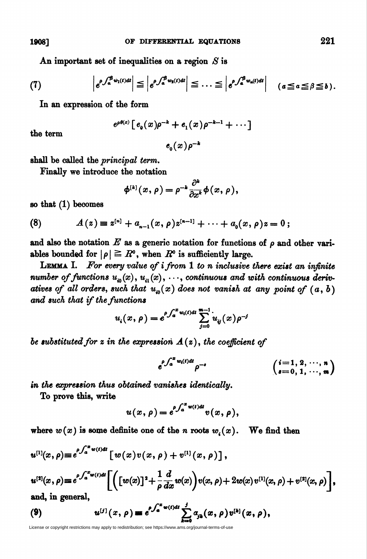An important set of inequalities on a region  $S$  is

(7) 
$$
\left| e^{\rho \int_a^{\beta} w_1(t) dt} \right| \leq \left| e^{\rho \int_a^{\beta} w_2(t) dt} \right| \leq \ldots \leq \left| e^{\rho \int_a^{\beta} w_n(t) dt} \right| \quad (a \leq a \leq \beta \leq b).
$$

In an expression of the form

$$
e^{\rho\theta(x)}[e_0(x)\rho^{-k}+e_1(x)\rho^{-k-1}+\cdots]
$$

the term

 $e_{_0}(x)\rho^{-k}$ 

shall be called the principal term.

Finally we introduce the notation

$$
\phi^{[k]}(x,\rho)=\rho^{-k}\frac{\partial^k}{\partial x^k}\phi(x,\rho),
$$

so that (1) becomes

(8) 
$$
A(z) \equiv z^{[n]} + a_{n-1}(x, \rho) z^{[n-1]} + \cdots + a_0(x, \rho) z = 0;
$$

and also the notation  $E$  as a generic notation for functions of  $\rho$  and other variables bounded for  $|\rho| \geq R^{\sigma}$ , when  $R^{\sigma}$  is sufficiently large.

**LEMMA I.** For every value of  $i$  from  $1$  to  $n$  inclusive there exist an infinite number of functions  $u_{\omega}(x), u_{\omega}(x), \cdots$ , continuous and with continuous derivatives of all orders, such that  $u_{i0}(x)$  does not vanish at any point of  $(a, b)$ and such that if the functions

$$
u_i(x,\rho) = e^{\rho \int_a^x w_i(t)dt} \sum_{j=0}^{m-1} u_{ij}(x) \rho^{-j}
$$

be substituted for z in the expression  $A(z)$ , the coefficient of

$$
e^{\rho \int_a^x w_i(t) dt} \rho^{-s} \qquad \qquad \left(\begin{array}{l} i = 1, 2, \cdots, n \\ i = 0, 1, \cdots, m \end{array}\right)
$$

in the expression thus obtained vanishes identically.

To prove this, write

$$
u(x,\rho)=e^{\rho\int_a^x w(t)dt}v(x,\rho),
$$

where  $w(x)$  is some definite one of the n roots  $w_i(x)$ . We find then

$$
u^{[1]}(x,\rho) \equiv e^{\rho \int_a^x w(t)dt} \left[ w(x)v(x,\rho) + v^{[1]}(x,\rho) \right],
$$
  
\n
$$
u^{[2]}(x,\rho) \equiv e^{\rho \int_a^x w(t)dt} \left[ \left( \left[ w(x) \right]^2 + \frac{1}{\rho} \frac{d}{dx} w(x) \right) v(x,\rho) + 2w(x) v^{[1]}(x,\rho) + v^{[2]}(x,\rho) \right],
$$
  
\nand, in general,  
\n(9) 
$$
u^{[j]}(x,\rho) \equiv e^{\rho \int_a^x w(t)dt} \sum_{k=0}^j a_{jk}(x,\rho) v^{[k]}(x,\rho),
$$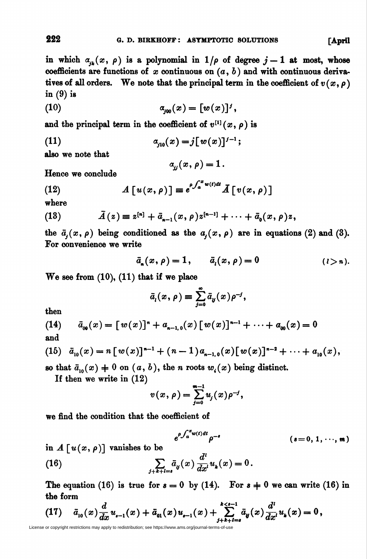in which  $\alpha_{ik}(x, \rho)$  is a polynomial in  $1/\rho$  of degree  $j-1$  at most, whose coefficients are functions of x continuous on  $(a, b)$  and with continuous derivatives of all orders. We note that the principal term in the coefficient of  $v(x, \rho)$ in (9) is

(10) 
$$
a_{j\omega}(x) = [w(x)]^j,
$$

and the principal term in the coefficient of  $v^{[1]}(x, \rho)$  is

(11) 
$$
\alpha_{j10}(x) = j[w(x)]^{j-1};
$$

also we note that

$$
a_{jj}(x,\rho)=1.
$$

Hence we conclude

(12) 
$$
A[u(x,\rho)] = e^{\rho \int_a^x w(t)dt} A[v(x,\rho)]
$$

where

(13) 
$$
\bar{A}(z) \equiv z^{[n]} + \bar{a}_{n-1}(x,\rho)z^{[n-1]} + \cdots + \bar{a}_0(x,\rho)z,
$$

the  $\bar{a}_j(x, \rho)$  being conditioned as the  $a_j(x, \rho)$  are in equations (2) and (3). For convenience we write

$$
\bar{a}_n(x,\rho)=1,\qquad \bar{a}_i(x,\rho)=0\qquad \qquad (i>n).
$$

We see from  $(10)$ ,  $(11)$  that if we place

$$
\bar{a}_i(x,\rho)=\sum_{j=0}^{\infty}\bar{a}_y(x)\rho^{-j},
$$

then

(14) 
$$
\bar{a}_{\omega}(x) = [w(x)]^n + a_{n-1,0}(x) [w(x)]^{n-1} + \cdots + a_{\omega}(x) = 0
$$
  
and

(15) 
$$
\bar{a}_{10}(x) = n [w(x)]^{n-1} + (n-1)a_{n-1,0}(x) [w(x)]^{n-2} + \cdots + a_{10}(x),
$$

so that  $\bar{a}_{10}(x) \neq 0$  on  $(a, b)$ , the n roots  $w_i(x)$  being distinct.

If then we write in (12)

$$
v(x,\rho) = \sum_{j=0}^{m-1} u_j(x) \rho^{-j},
$$

we find the condition that the coefficient of

$$
e^{\rho \int_a^x w(t) dt} \rho^{-s} \qquad (s=0, 1, \cdots, m)
$$

in  $A \lceil u(x, \rho) \rceil$  vanishes to be

(16) 
$$
\sum_{j+k+l=s} \bar{a}_y(x) \frac{d^l}{dx^l} u_k(x) = 0.
$$

The equation (16) is true for  $s = 0$  by (14). For  $s = 0$  we can write (16) in the form

(17) 
$$
\bar{a}_{10}(x)\frac{d}{dx}u_{t-1}(x)+\bar{a}_{01}(x)u_{t-1}(x)+\sum_{j+k+l=s}^{k
$$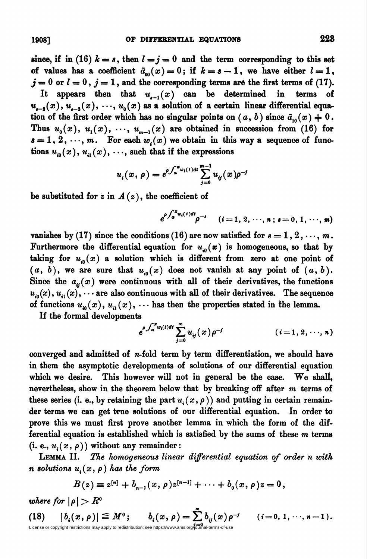since, if in (16)  $k = s$ , then  $l = j = 0$  and the term corresponding to this set of values has a coefficient  $\bar{a}_{00}(x) = 0$ ; if  $k = s - 1$ , we have either  $l = 1$ ,  $j = 0$  or  $l = 0$ ,  $j = 1$ , and the corresponding terms are the first terms of (17). It appears then that  $u_{t-1}(x)$  can be determined in terms of  $u_{-2}(x), u_{-3}(x), \dots, u_0(x)$  as a solution of a certain linear differential equation of the first order which has no singular points on  $(a, b)$  since  $\bar{a}_{10}(x) \neq 0$ . Thus  $u_0(x)$ ,  $u_1(x)$ ,  $\cdots$ ,  $u_{m-1}(x)$  are obtained in succession from (16) for  $s = 1, 2, \dots, m$ . For each  $w_i(x)$  we obtain in this way a sequence of functions  $u_{\alpha}(x), u_{\alpha}(x), \cdots$ , such that if the expressions

$$
u_i(x,\rho) = e^{\rho \int_a^x w_i(t) dt} \sum_{j=0}^{m-1} u_{ij}(x) \rho^{-j}
$$

be substituted for z in  $A(z)$ , the coefficient of

$$
e^{\rho \int_a^x w_i(t) dt} \rho^{-s} \quad (i = 1, 2, \cdots, n; s = 0, 1, \cdots, m)
$$

vanishes by (17) since the conditions (16) are now satisfied for  $s = 1, 2, \dots, m$ . Furthermore the differential equation for  $u_{\omega}(x)$  is homogeneous, so that by taking for  $u_{\omega}(x)$  a solution which is different from zero at one point of  $(a, b)$ , we are sure that  $u_{i0}(x)$  does not vanish at any point of  $(a, b)$ . Since the  $a_{ii}(x)$  were continuous with all of their derivatives, the functions  $u_{in}(x), u_{in}(x), \cdots$  are also continuous with all of their derivatives. The sequence of functions  $u_{\omega}(x), u_{\omega}(x), \cdots$  has then the properties stated in the lemma.

If the formal developments

$$
e^{\rho \int_a^x w_i(t) dt} \sum_{j=0}^\infty u_{ij}(x) \rho^{-j} \qquad (i=1, 2, \dots, n)
$$

converged and admitted of  $n$ -fold term by term differentiation, we should have in them the asymptotic developments of solutions of our differential equation which we desire. This however will not in general be the case. We shall, nevertheless, show in the theorem below that by breaking off after m terms of these series (i. e., by retaining the part  $u_i(x, \rho)$ ) and putting in certain remainder terms we can get true solutions of our differential equation. In order to prove this we must first prove another lemma in which the form of the differential equation is established which is satisfied by the sums of these  $m$  terms (i. e.,  $u_i(x, \rho)$ ) without any remainder:

LEMMA II. The homogeneous linear differential equation of order n with n solutions  $u_i(x, \rho)$  has the form

$$
B(z) \equiv z^{[n]} + b_{n-1}(x, \rho) z^{[n-1]} + \cdots + b_0(x, \rho) z = 0,
$$

where for  $|\rho| > R^0$ 

$$
(18) \qquad |b_i(x,\rho)| \leq M^0; \qquad b_i(x,\rho) = \sum_{i=0}^{\infty} b_{ij}(x)\rho^{-j} \qquad (i=0,\,1,\,\cdots,\,n-1).
$$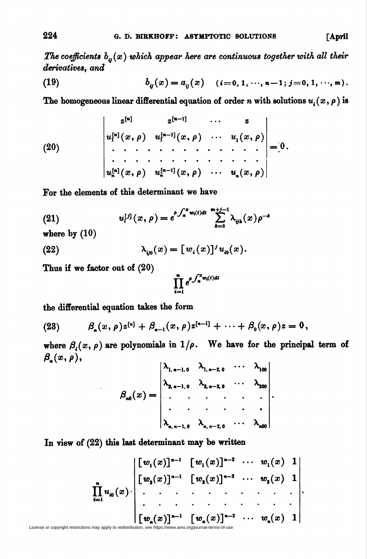The coefficients  $b_{ii}(x)$  which appear here are continuous together with all their derivatives, and

(19) 
$$
b_{ij}(x) = a_{ij}(x) \quad (i = 0, 1, \dots, n-1; j = 0, 1, \dots, m).
$$

The homogeneous linear differential equation of order n with solutions  $u_i(x, \rho)$  is

(20)  

$$
\begin{vmatrix} z^{[n]} & z^{[n-1]} & \cdots & z \\ u^{[n]}(x,\rho) & u^{[n-1]}(x,\rho) & \cdots & u_1(x,\rho) \\ \vdots & \vdots & \ddots & \vdots & \vdots \\ u^{[n]}(x,\rho) & u^{[n-1]}(x,\rho) & \cdots & u_n(x,\rho) \end{vmatrix} = 0.
$$

For the elements of this determinant we have

(21) 
$$
u_i^{[j]}(x,\rho) = e^{\rho \int_a^x w_i(t)dt} \sum_{k=0}^{m+j-1} \lambda_{ijk}(x) \rho^{-k}
$$

where by  $(10)$ 

(22) 
$$
\lambda_{\mathbf{v}^0}(x) = [w_i(x)]^j u_{\mathbf{v}^0}(x).
$$

Thus if we factor out of (20)

$$
\prod_{i=1}^n e^{\rho \int_a^x w_i(t) dt}
$$

the differential equation takes the form

(23) 
$$
\beta_{n}(x,\rho)z^{[n]} + \beta_{n-1}(x,\rho)z^{[n-1]} + \cdots + \beta_{0}(x,\rho)z = 0,
$$

where  $\beta_i(x, \rho)$  are polynomials in  $1/\rho$ . We have for the principal term of  $\beta_{\alpha}(x,\rho),$ 

$$
\beta_{n0}(x) = \begin{vmatrix} \lambda_{1, n-1, 0} & \lambda_{1, n-2, 0} & \cdots & \lambda_{100} \\ \lambda_{2, n-1, 0} & \lambda_{2, n-2, 0} & \cdots & \lambda_{200} \\ \vdots & \vdots & \ddots & \vdots \\ \lambda_{n, n-1, 0} & \lambda_{n, n-2, 0} & \cdots & \lambda_{n00} \end{vmatrix}.
$$

In view of (22) this last determinant may be written

$$
\prod_{i=1}^{n} u_{i0}(x) \cdot \begin{vmatrix} [w_{1}(x)]^{n-1} & [w_{1}(x)]^{n-2} & \cdots & w_{1}(x) & 1 \\ [w_{2}(x)]^{n-1} & [w_{2}(x)]^{n-2} & \cdots & w_{2}(x) & 1 \\ \vdots & \vdots & \ddots & \vdots & \ddots & \vdots \\ [w_{n}(x)]^{n-1} & [w_{n}(x)]^{n-2} & \cdots & w_{n}(x) & 1 \end{vmatrix}
$$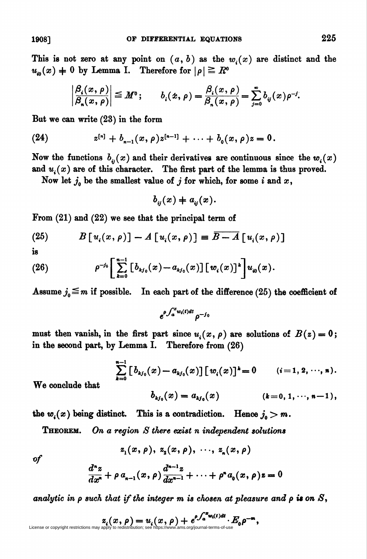This is not zero at any point on  $(a, b)$  as the  $w<sub>i</sub>(x)$  are distinct and the  $u_{\omega}(x) = 0$  by Lemma I. Therefore for  $|\rho| \geq R^{\alpha}$ 

$$
\left|\frac{\beta_i(x,\rho)}{\beta_n(x,\rho)}\right| \leq M^0; \qquad b_i(x,\rho) = \frac{\beta_i(x,\rho)}{\beta_n(x,\rho)} = \sum_{j=0}^{\infty} b_{ij}(x)\rho^{-j}.
$$

But we can write (23) in the form

(24) 
$$
z^{[n]} + b_{n-1}(x, \rho)z^{[n-1]} + \cdots + b_0(x, \rho)z = 0.
$$

Now the functions  $b_{ij}(x)$  and their derivatives are continuous since the  $w_i(x)$ and  $u_i(x)$  are of this character. The first part of the lemma is thus proved.

Now let  $j_0$  be the smallest value of j for which, for some i and x,

 $b_{ii}(x) + a_{ii}(x)$ .

From (21) and (22) we see that the principal term of

(25) 
$$
B[u_i(x,\rho)] - A[u_i(x,\rho)] \equiv \overline{B-A} [u_i(x,\rho)]
$$

is

(26) 
$$
\rho^{-j_0}\bigg[\sum_{k=0}^{n-1}\big[b_{kj_0}(x)-a_{kj_0}(x)\big]\big[w_i(x)\big]^k\bigg]u_{i_0}(x).
$$

Assume  $j_0 \leq m$  if possible. In each part of the difference (25) the coefficient of

 $e^{\rho \int_a^x w_i(t) dt}$   $o^{-j_0}$ 

must then vanish, in the first part since  $u_i(x, \rho)$  are solutions of  $B(z) = 0$ ; in the second part, by Lemma I. Therefore from (26)

$$
\sum_{k=0}^{n-1} \left[ b_{kj_0}(x) - a_{kj_0}(x) \right] \left[ w_i(x) \right]^k = 0 \qquad (i = 1, 2, \dots, n).
$$

We conclude that

$$
b_{kj_0}(x) = a_{kj_0}(x) \qquad (k = 0, 1, \cdots, n-1),
$$

the  $w_i(x)$  being distinct. This is a contradiction. Hence  $j_0>m$ .

**THEOREM.** On a region S there exist n independent solutions

$$
z_1(x,\rho), z_2(x,\rho), \ldots, z_n(x,\rho)
$$

of

$$
\frac{d^{n}z}{dx^{n}} + \rho a_{n-1}(x, \rho) \frac{d^{n-1}z}{dx^{n-1}} + \cdots + \rho^{n} a_{0}(x, \rho) z = 0
$$

analytic in  $\rho$  such that if the integer m is chosen at pleasure and  $\rho$  is on  $S$ ,

$$
z_i(x, \rho) = u_i(x, \rho) + e^{\rho \int_a^x w_i(t) dt} \cdot E_0 \rho^{-m},
$$
   
License or copyright restrictions may apply to redistribution; see <https://www.ams.org/journal-terms-of-use>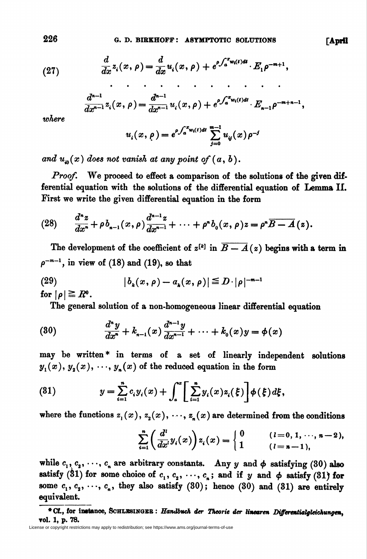(27) 
$$
\frac{d}{dx}z_i(x,\rho)=\frac{d}{dx}u_i(x,\rho)+e^{\rho\int_a^x w_i(t)dt}\cdot E_1\rho^{-m+1},
$$

$$
\frac{d^{n-1}}{dx^{n-1}}z_i(x,\rho)=\frac{d^{n-1}}{dx^{n-1}}u_i(x,\rho)+e^{\rho\int_a^x w_i(t)dt}\cdot E_{n-1}\rho^{-m+n-1},
$$

where

$$
u_i(x,\rho) = e^{\rho \int_a^x w_i(t) dt} \sum_{j=0}^{m-1} u_{ij}(x) \rho^{-j}
$$

and  $u_{\omega}(x)$  does not vanish at any point of  $(a, b)$ .

Proof. We proceed to effect a comparison of the solutions of the given differential equation with the solutions of the differential equation of Lemma II. First we write the given differential equation in the form

(28) 
$$
\frac{d^{n}z}{dx^{n}} + \rho b_{n-1}(x, \rho) \frac{d^{n-1}z}{dx^{n-1}} + \cdots + \rho^{n} b_{0}(x, \rho) z = \rho^{n} \overline{B-A}(z).
$$

The development of the coefficient of  $z^{[k]}$  in  $\overline{B-A}(z)$  begins with a term in  $\rho^{-m-1}$ , in view of (18) and (19), so that

(29) 
$$
|b_{k}(x, \rho) - a_{k}(x, \rho)| \leq D \cdot |\rho|^{-m-1}
$$
for  $|\rho| \geq R^0$ .

The general solution of a non-homogeneous linear differential equation

(30) 
$$
\frac{d^n y}{dx^n} + k_{n-1}(x) \frac{d^{n-1} y}{dx^{n-1}} + \cdots + k_0(x) y = \phi(x)
$$

may be written\* in terms of a set of linearly independent solutions  $y_1(x), y_2(x), \dots, y_n(x)$  of the reduced equation in the form

(81) 
$$
y = \sum_{i=1}^{n} c_i y_i(x) + \int_a^x \left[ \sum_{i=1}^{n} y_i(x) z_i(\xi) \right] \phi(\xi) d\xi,
$$

where the functions  $z_1(x)$ ,  $z_2(x)$ ,  $\cdots$ ,  $z_n(x)$  are determined from the conditions

$$
\sum_{i=1}^n \left( \frac{d^i}{dx^i} y_i(x) \right) z_i(x) = \begin{cases} 0 & (l = 0, 1, \dots, n-2), \\ 1 & (l = n-1), \end{cases}
$$

while  $c_1, c_2, \dots, c_n$  are arbitrary constants. Any y and  $\phi$  satisfying (30) also satisfy (31) for some choice of  $c_1, c_2, \cdots, c_n$ ; and if y and  $\phi$  satisfy (31) for some  $c_1, c_2, \dots, c_n$ , they also satisfy (30); hence (30) and (31) are entirely equivalent.

<sup>\*</sup> Cf., for instance, SCHLRSINGER : Handbuch der Theorie der linearen Differentialgleichungen, vol. 1, p. 78.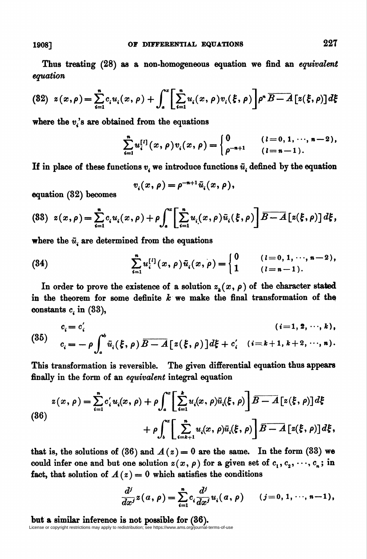Thus treating (28) as a non-homogeneous equation we find an equivalent equation

$$
(82) \ \ z(x,\rho) = \sum_{i=1}^{n} c_i u_i(x,\rho) + \int_a^x \left[ \sum_{i=1}^{n} u_i(x,\rho) v_i(\xi,\rho) \right] \rho^n \overline{B-A} \left[ z(\xi,\rho) \right] d\xi
$$

where the  $v_i$ 's are obtained from the equations

$$
\sum_{i=1}^n u_i^{[l]}(x,\rho)v_i(x,\rho) = \begin{cases} 0 & (l=0,1,\dots,n-2), \\ \rho^{-n+1} & (l=n-1). \end{cases}
$$

If in place of these functions  $v_i$  we introduce functions  $\bar{u}_i$  defined by the equation

$$
v_i(x,\rho) = \rho^{-n+1}\bar{u}_i(x,\rho),
$$

equation (32) becomes

$$
(83) \ \ z(x,\rho) = \sum_{i=1}^{n} c_i u_i(x,\rho) + \rho \int_a^{\infty} \left[ \sum_{i=1}^{n} u_i(x,\rho) \bar{u}_i(\xi,\rho) \right] \overline{B - A} \left[ z(\xi,\rho) \right] d\xi,
$$

where the  $\bar{u}$ , are determined from the equations

(34) 
$$
\sum_{i=1}^{n} u_i^{[l]}(x,\rho) \bar{u}_i(x,\rho) = \begin{cases} 0 & (l=0,1,\dots,n-2), \\ 1 & (l=n-1). \end{cases}
$$

In order to prove the existence of a solution  $z_{\mu}(x, \rho)$  of the character stated in the theorem for some definite  $k$  we make the final transformation of the constants  $c_i$  in (33),

(35) 
$$
c_i = c'_i
$$
  $(i=1, 2, \dots, k),$   
\n
$$
c_i = -\rho \int_a^b \bar{u}_i(\xi, \rho) \overline{B - A} [z(\xi, \rho)] d\xi + c'_i \quad (i=k+1, k+2, \dots, n).
$$

This transformation is reversible. The given differential equation thus appears finally in the form of an *equivalent* integral equation

$$
z(x,\rho) = \sum_{i=1}^{n} c'_i u_i(x,\rho) + \rho \int_a^x \left[ \sum_{i=1}^{k} u_i(x,\rho) \bar{u}_i(\xi,\rho) \right] \overline{B - A} \left[ z(\xi,\rho) \right] d\xi
$$
  
(86)  

$$
+ \rho \int_b^x \left[ \sum_{i=k+1}^{n} u_i(x,\rho) \bar{u}_i(\xi,\rho) \right] \overline{B - A} \left[ z(\xi,\rho) \right] d\xi,
$$

that is, the solutions of (36) and  $A(z) = 0$  are the same. In the form (33) we could infer one and but one solution  $z(x, \rho)$  for a given set of  $c_1, c_2, \dots, c_n$ ; in fact, that solution of  $A(z) = 0$  which satisfies the conditions

$$
\frac{d^j}{dx^j}z(a,\rho)=\sum_{i=1}^n c_i\frac{d^j}{dx^j}u_i(a,\rho) \qquad (j=0,1,\dots,n-1),
$$

but a similar inference is not possible for (36). License or copyright restrictions may apply to redistribution; see https://www.ams.org/journal-terms-of-use

19087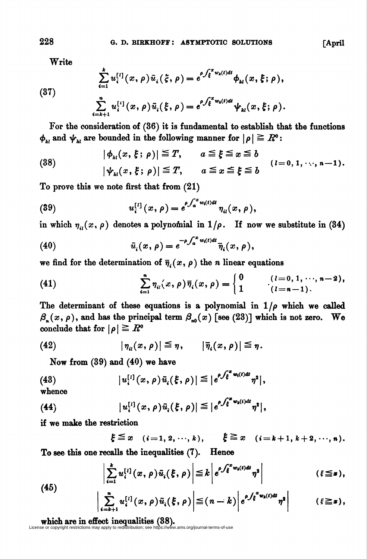Write

(37)  

$$
\sum_{i=1}^{k} u_i^{[l]}(x,\rho) \bar{u}_i(\xi,\rho) = e^{\rho \int_{\xi}^{x} w_k(t)dt} \phi_{kl}(x,\xi;\rho),
$$

$$
\sum_{i=k+1}^{n} u_i^{[l]}(x,\rho) \bar{u}_i(\xi,\rho) = e^{\rho \int_{\xi}^{x} w_k(t)dt} \psi_{kl}(x,\xi;\rho).
$$

For the consideration of (36) it is fundamental to establish that the functions  $\phi_{kl}$  and  $\psi_{kl}$  are bounded in the following manner for  $|\rho| \geq R^{\circ}$ :

(38) 
$$
|\phi_{kl}(x,\xi;\rho)| \leq T, \qquad a \leq \xi \leq x \leq b
$$

$$
|\psi_{kl}(x,\xi;\rho)| \leq T, \qquad a \leq x \leq \xi \leq b \qquad (l=0,1,\dots,n-1).
$$

To prove this we note first that from (21)

(39) 
$$
u_i^{[l]}(x,\rho) = e^{\rho \int_a^x w_i(t)dt} \eta_{il}(x,\rho),
$$

in which  $\eta_{ii}(x, \rho)$  denotes a polynomial in  $1/\rho$ . If now we substitute in (34)

(40) 
$$
\bar{u}_i(x,\rho) = e^{-\rho \int_a^x w_i(t)dt} \bar{\eta}_i(x,\rho),
$$

we find for the determination of  $\overline{\eta}_i(x, \rho)$  the n linear equations

(41) 
$$
\sum_{i=1}^{n} \eta_{ii}(x, \rho) \overline{\eta}_{i}(x, \rho) = \begin{cases} 0 & (l = 0, 1, \dots, n-2), \\ 1 & (l = n-1). \end{cases}
$$

The determinant of these equations is a polynomial in  $1/\rho$  which we called  $\beta_n(x, \rho)$ , and has the principal term  $\beta_{n0}(x)$  [see (23)] which is not zero. We conclude that for  $|\rho| \geq R^{\circ}$ 

(42) 
$$
|\eta_u(x,\rho)| \leq \eta, \qquad |\bar{\eta}_i(x,\rho)| \leq \eta.
$$

Now from (39) and (40) we have

(43) 
$$
|u_i^{[i]}(x,\rho)\bar{u}_i(\xi,\rho)| \leq |e^{\rho \int_{\xi}^{x} w_i(t) dt} \eta^2|,
$$

whence

(45)

(44) 
$$
|u_i^{[l]}(x,\rho)\bar{u}_i(\xi,\rho)| \leq |e^{\rho \int_{\xi}^{x} w_k(t)dt} \eta^2|,
$$

if we make the restriction

$$
\xi \leq x \quad (i=1, 2, \cdots, k), \qquad \xi \geq x \quad (i=k+1, k+2, \cdots, n).
$$

To see this one recalls the inequalities (7). Hence

$$
\left|\sum_{i=1}^k u_i^{[l]}(x,\rho)\bar{u}_i(\xi,\rho)\right| \leq k \left|e^{\rho \int_{\xi}^{x} w_i(t)dt}\eta^2\right| \qquad (\xi \leq x),
$$

$$
\left|\sum_{i=k+1}^n u_i^{[i]}(x,\rho)\bar{u}_i(\xi,\rho)\right| \leq (n-k)\left|e^{\rho\int_{\xi}^x w_k(t)dt}\eta^{\sharp}\right| \qquad (\xi \geq x),
$$

## **which are in effect inequalities**  $(38)$ **.**<br>License or copyright restrictions may apply to redistribution; see https://www.ams.org/journal-terms-of-use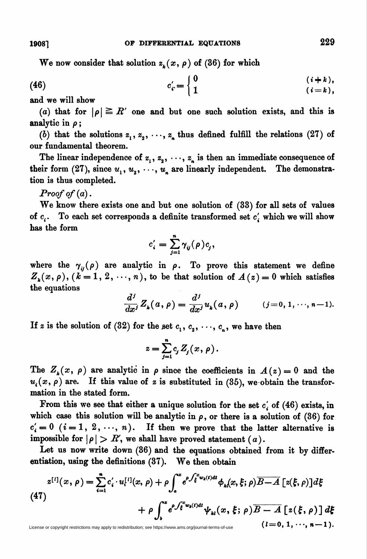We now consider that solution  $z_k(x, \rho)$  of (36) for which

$$
c'_{i} = \begin{cases} 0 & (i+k), \\ 1 & (i=k), \end{cases}
$$

and we will show

(a) that for  $|\rho| \geq R'$  one and but one such solution exists, and this is analytic in  $\rho$ ;

(b) that the solutions  $z_1, z_2, \dots, z_n$  thus defined fulfill the relations (27) of our fundamental theorem.

The linear independence of  $z_1, z_2, \dots, z_n$  is then an immediate consequence of their form (27), since  $u_1, u_2, \dots, u_n$  are linearly independent. The demonstration is thus completed.

**Proof of (a).** 

We know there exists one and but one solution of (33) for all sets of values of  $c_i$ . To each set corresponds a definite transformed set  $c_i$  which we will show has the form

$$
c_i' = \sum_{j=1}^n \gamma_{ij}(\rho) c_j,
$$

where the  $\gamma_{ii}(\rho)$  are analytic in  $\rho$ . To prove this statement we define  $Z_{\lambda}(x, \rho), (k = 1, 2, \dots, n)$ , to be that solution of  $A(z) = 0$  which satisfies the equations

$$
\frac{d^j}{dx^j}Z_k(a,\rho)=\frac{d^j}{dx^j}u_k(a,\rho)\qquad (j=0,1,\cdots,n-1).
$$

If z is the solution of (32) for the set  $c_1, c_2, \dots, c_n$ , we have then

$$
z=\sum_{j=1}^n c_j Z_j(x,\,\rho).
$$

The  $Z_k(x, \rho)$  are analytic in  $\rho$  since the coefficients in  $A(z) = 0$  and the  $u_i(x, \rho)$  are. If this value of z is substituted in (35), we obtain the transformation in the stated form.

From this we see that either a unique solution for the set  $c_i$  of (46) exists, in which case this solution will be analytic in  $\rho$ , or there is a solution of (36) for  $c'_{i} = 0$   $(i = 1, 2, \ldots, n)$ . If then we prove that the latter alternative is impossible for  $|\rho| > R$ , we shall have proved statement (a).

Let us now write down (36) and the equations obtained from it by differentiation, using the definitions (37). We then obtain

$$
z^{[l]}(x,\rho) = \sum_{i=1}^{n} c'_i \cdot u^{[l]}(x,\rho) + \rho \int_a^x e^{\rho \int_{\xi}^x w_k(t)dt} \phi_k(x,\xi;\rho) \overline{B-A} [z(\xi,\rho)]d\xi
$$
  
(47)  

$$
+ \rho \int_b^x e^{\rho \int_{\xi}^x w_k(t)dt} \psi_{kl}(x,\xi;\rho) \overline{B-A} [z(\xi,\rho)]d\xi
$$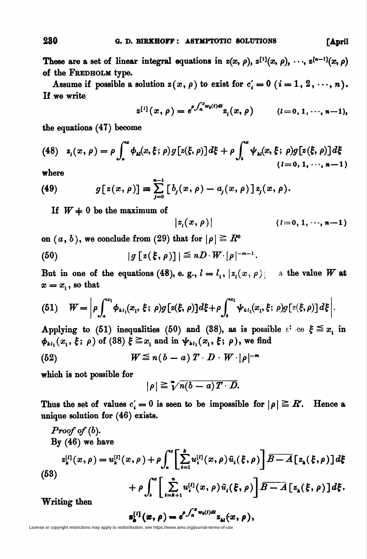These are a set of linear integral equations in  $z(x, \rho)$ ,  $z^{[1]}(x, \rho)$ ,  $\cdots$ ,  $z^{[n-1]}(x, \rho)$ of the Fredholm type.

Assume if possible a solution  $z(x, \rho)$  to exist for  $c_i' = 0$   $(i = 1, 2, \dots, n)$ . If we write

$$
z^{[i]}(x,\rho) = e^{\rho \int_a^x w_k(t)dt} z_i(x,\rho) \qquad (l=0,1,\cdots,n-1),
$$

the equations (47) become

(48) 
$$
z_i(x, \rho) = \rho \int_a^x \phi_{ki}(x, \xi; \rho) g[z(\xi, \rho)] d\xi + \rho \int_b^x \psi_{ki}(x, \xi; \rho) g[z(\xi, \rho)] d\xi
$$
  
(*l*=0, 1, ..., n-1)

where

(49) 
$$
g[z(x,\rho)] = \sum_{j=0}^{n-1} [b_j(x,\rho) - a_j(x,\rho)] z_j(x,\rho).
$$

If  $W = 0$  be the maximum of

$$
|z_i(x, \rho)| \qquad (l = 0, 1, \cdots, n-1)
$$

on  $(a, b)$ , we conclude from (29) that for  $|\rho| \geq R^{\delta}$ 

(50) 
$$
|g[z(\xi,\rho)]| \leq nD \cdot W \cdot |\rho|^{-m-1}.
$$

But in one of the equations (48), e. g.,  $l = l_1$ ,  $|z_l(x, \rho)|$  is the value W at  $x = x_1$ , so that

(51) 
$$
W = \left| \rho \int_a^{x_1} \phi_{\kappa_1}(x_1, \xi; \rho) g\big[z(\xi, \rho)\big] d\xi + \rho \int_b^{x_1} \psi_{\kappa_1}(x_1, \xi; \rho) g\big[z(\xi, \rho)\big] d\xi \right|.
$$

Applying to (51) inequalities (50) and (38), as is possible  $s^i$  ce  $\xi \leq x_i$  in  $\phi_{kl_1}(x_1, \xi; \rho)$  of (38)  $\xi \geq x_1$  and in  $\psi_{kl_1}(x_1, \xi; \rho)$ , we find

(52) 
$$
W \leq n(b-a) T \cdot D \cdot W \cdot |\rho|^{-m}
$$

which is not possible for

$$
|\rho| \geq \sqrt[m]{n(b-a)T\cdot D}.
$$

Thus the set of values  $c_i' = 0$  is seen to be impossible for  $|\rho| \geq R$ . Hence a unique solution for (46) exists.

*Proof of (b).*  
\nBy (46) we have  
\n
$$
z_{k}^{[l]}(x,\rho) = u_{k}^{[l]}(x,\rho) + \rho \int_{a}^{\infty} \left[ \sum_{i=1}^{k} u_{i}^{[l]}(x,\rho) \bar{u}_{i}(\xi,\rho) \right] \overline{B - A} \left[ z_{k}(\xi,\rho) \right] d\xi
$$
\n(53)  
\n
$$
+ \rho \int_{b}^{\infty} \left[ \sum_{i=k+1}^{n} u_{i}^{[l]}(x,\rho) \bar{u}_{i}(\xi,\rho) \right] \overline{B - A} \left[ z_{k}(\xi,\rho) \right] d\xi.
$$
\nWriting then

 $\mathbf{s}_{\mu}^{[l]}(x,\rho)=e^{\rho\int_{a}^{x}w_{h}(t)dt}z_{\mu}(x,\rho),$